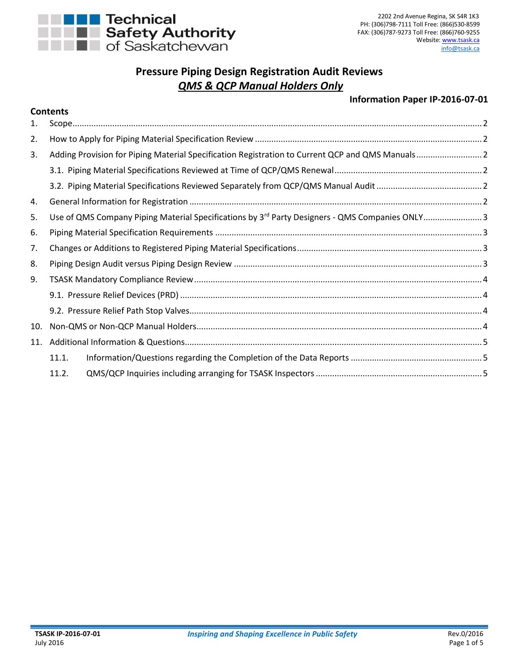

**Contents**

## **Pressure Piping Design Registration Audit Reviews** *QMS & QCP Manual Holders Only*

## **Information Paper IP-2016-07-01**

|     | <b>CONGNUS</b>                                                                                             |  |
|-----|------------------------------------------------------------------------------------------------------------|--|
| 1.  |                                                                                                            |  |
| 2.  |                                                                                                            |  |
| 3.  | Adding Provision for Piping Material Specification Registration to Current QCP and QMS Manuals 2           |  |
|     |                                                                                                            |  |
|     |                                                                                                            |  |
| 4.  |                                                                                                            |  |
| 5.  | Use of QMS Company Piping Material Specifications by 3 <sup>rd</sup> Party Designers - QMS Companies ONLY3 |  |
| 6.  |                                                                                                            |  |
| 7.  |                                                                                                            |  |
| 8.  |                                                                                                            |  |
| 9.  |                                                                                                            |  |
|     |                                                                                                            |  |
|     |                                                                                                            |  |
| 10. |                                                                                                            |  |
| 11. |                                                                                                            |  |
|     | 11.1.                                                                                                      |  |
|     | 11.2.                                                                                                      |  |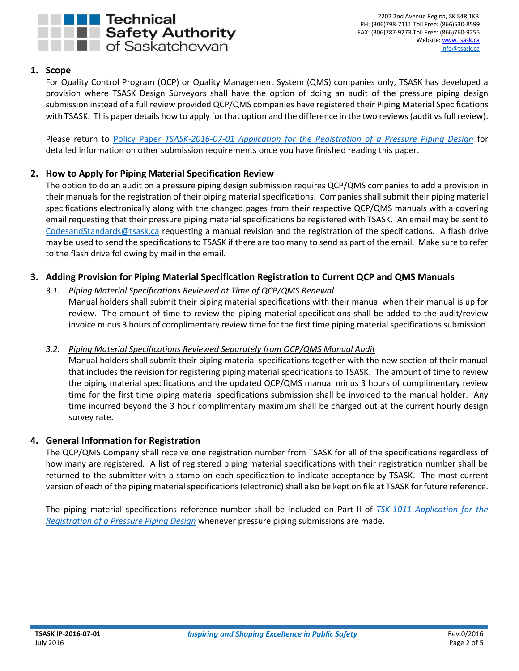

2202 2nd Avenue Regina, SK S4R 1K3 PH: (306)798-7111 Toll Free: (866)530-8599 FAX: (306)787-9273 Toll Free: (866)760-9255 Website: [www.tsask.ca](http://www.tsask.ca/) [info@tsask.ca](mailto:info@tsask.ca)

## <span id="page-1-0"></span>**1. Scope**

For Quality Control Program (QCP) or Quality Management System (QMS) companies only, TSASK has developed a provision where TSASK Design Surveyors shall have the option of doing an audit of the pressure piping design submission instead of a full review provided QCP/QMS companies have registered their Piping Material Specifications with TSASK. This paper details how to apply for that option and the difference in the two reviews(audit vs full review).

Please return to Policy Paper *[TSASK-2016-07-01 Application for the Registration of a Pressure Piping Design](http://www.tsask.ca/public/pdf/2016%20Pressure%20Piping/TSASK-2016-07-01_-_Application_for_Pressure_Piping_Review.pdf)* for detailed information on other submission requirements once you have finished reading this paper.

## <span id="page-1-1"></span>**2. How to Apply for Piping Material Specification Review**

The option to do an audit on a pressure piping design submission requires QCP/QMS companies to add a provision in their manuals for the registration of their piping material specifications. Companies shall submit their piping material specifications electronically along with the changed pages from their respective QCP/QMS manuals with a covering email requesting that their pressure piping material specifications be registered with TSASK. An email may be sent to [CodesandStandards@tsask.ca](mailto:CodesandStandards@tsask.ca) requesting a manual revision and the registration of the specifications. A flash drive may be used to send the specifications to TSASK if there are too many to send as part of the email. Make sure to refer to the flash drive following by mail in the email.

## <span id="page-1-3"></span><span id="page-1-2"></span>**3. Adding Provision for Piping Material Specification Registration to Current QCP and QMS Manuals**

## *3.1. Piping Material Specifications Reviewed at Time of QCP/QMS Renewal*

Manual holders shall submit their piping material specifications with their manual when their manual is up for review. The amount of time to review the piping material specifications shall be added to the audit/review invoice minus 3 hours of complimentary review time for the first time piping material specifications submission.

## <span id="page-1-4"></span>*3.2. Piping Material Specifications Reviewed Separately from QCP/QMS Manual Audit*

Manual holders shall submit their piping material specifications together with the new section of their manual that includes the revision for registering piping material specifications to TSASK. The amount of time to review the piping material specifications and the updated QCP/QMS manual minus 3 hours of complimentary review time for the first time piping material specifications submission shall be invoiced to the manual holder. Any time incurred beyond the 3 hour complimentary maximum shall be charged out at the current hourly design survey rate.

## <span id="page-1-5"></span>**4. General Information for Registration**

The QCP/QMS Company shall receive one registration number from TSASK for all of the specifications regardless of how many are registered. A list of registered piping material specifications with their registration number shall be returned to the submitter with a stamp on each specification to indicate acceptance by TSASK. The most current version of each of the piping material specifications(electronic) shall also be kept on file at TSASK for future reference.

The piping material specifications reference number shall be included on Part II of *[TSK-1011 Application for the](http://www.tsask.ca/public/pdf/2016%20Pressure%20Piping/TSK-1011_-_Application_for_the_Registration_of_a_Pressure_Piping_Design_Form.pdf)  [Registration of a Pressure Piping Design](http://www.tsask.ca/public/pdf/2016%20Pressure%20Piping/TSK-1011_-_Application_for_the_Registration_of_a_Pressure_Piping_Design_Form.pdf)* whenever pressure piping submissions are made.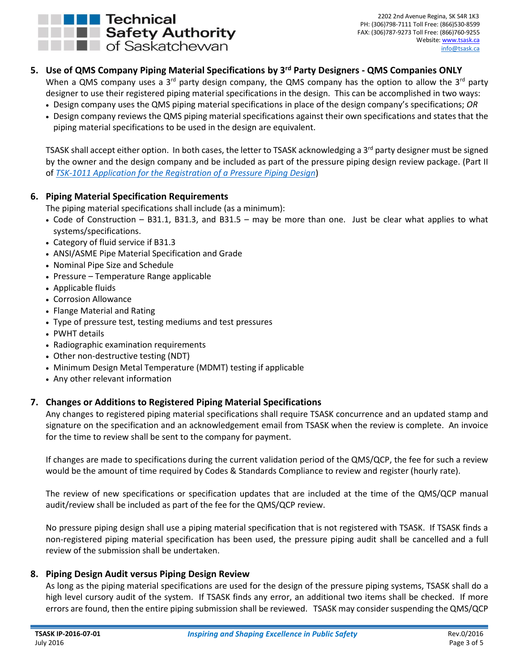

# <span id="page-2-0"></span>**5. Use of QMS Company Piping Material Specifications by 3rd Party Designers - QMS Companies ONLY**

When a QMS company uses a 3<sup>rd</sup> party design company, the QMS company has the option to allow the 3<sup>rd</sup> party designer to use their registered piping material specifications in the design. This can be accomplished in two ways:

- Design company uses the QMS piping material specifications in place of the design company's specifications; *OR*
- Design company reviews the QMS piping material specifications against their own specifications and states that the piping material specifications to be used in the design are equivalent.

TSASK shall accept either option. In both cases, the letter to TSASK acknowledging a  $3<sup>rd</sup>$  party designer must be signed by the owner and the design company and be included as part of the pressure piping design review package. (Part II of *[TSK-1011 Application for the Registration of a Pressure Piping Design](http://www.tsask.ca/public/pdf/2016%20Pressure%20Piping/TSK-1011_-_Application_for_the_Registration_of_a_Pressure_Piping_Design_Form.pdf)*)

## <span id="page-2-1"></span>**6. Piping Material Specification Requirements**

The piping material specifications shall include (as a minimum):

- Code of Construction B31.1, B31.3, and B31.5 may be more than one. Just be clear what applies to what systems/specifications.
- Category of fluid service if B31.3
- ANSI/ASME Pipe Material Specification and Grade
- Nominal Pipe Size and Schedule
- Pressure Temperature Range applicable
- Applicable fluids
- Corrosion Allowance
- Flange Material and Rating
- Type of pressure test, testing mediums and test pressures
- PWHT details
- Radiographic examination requirements
- Other non-destructive testing (NDT)
- Minimum Design Metal Temperature (MDMT) testing if applicable
- Any other relevant information

## <span id="page-2-2"></span>**7. Changes or Additions to Registered Piping Material Specifications**

Any changes to registered piping material specifications shall require TSASK concurrence and an updated stamp and signature on the specification and an acknowledgement email from TSASK when the review is complete. An invoice for the time to review shall be sent to the company for payment.

If changes are made to specifications during the current validation period of the QMS/QCP, the fee for such a review would be the amount of time required by Codes & Standards Compliance to review and register (hourly rate).

The review of new specifications or specification updates that are included at the time of the QMS/QCP manual audit/review shall be included as part of the fee for the QMS/QCP review.

No pressure piping design shall use a piping material specification that is not registered with TSASK. If TSASK finds a non-registered piping material specification has been used, the pressure piping audit shall be cancelled and a full review of the submission shall be undertaken.

#### <span id="page-2-3"></span>**8. Piping Design Audit versus Piping Design Review**

As long as the piping material specifications are used for the design of the pressure piping systems, TSASK shall do a high level cursory audit of the system. If TSASK finds any error, an additional two items shall be checked. If more errors are found, then the entire piping submission shall be reviewed. TSASK may consider suspending the QMS/QCP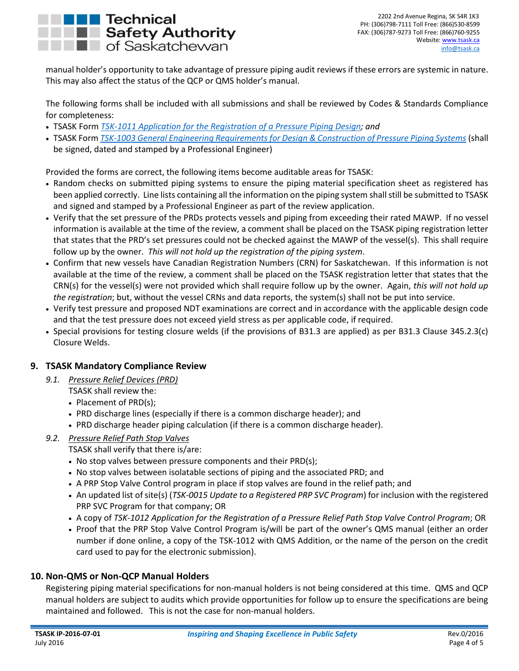

manual holder's opportunity to take advantage of pressure piping audit reviews if these errors are systemic in nature. This may also affect the status of the QCP or QMS holder's manual.

The following forms shall be included with all submissions and shall be reviewed by Codes & Standards Compliance for completeness:

- TSASK Form *[TSK-1011 Application for the Registration of a Pressure Piping](http://www.tsask.ca/public/pdf/2016%20Pressure%20Piping/TSK-1011_-_Application_for_the_Registration_of_a_Pressure_Piping_Design_Form.pdf) Design; and*
- TSASK Form *[TSK-1003 General Engineering Requirements for Design & Construction of Pressure Piping Systems](http://www.tsask.ca/public/pdf/2016%20Pressure%20Piping/TSK-1003_-_General_Engineering_Requirements_for_Pressure_Piping.pdf)* (shall be signed, dated and stamped by a Professional Engineer)

Provided the forms are correct, the following items become auditable areas for TSASK:

- Random checks on submitted piping systems to ensure the piping material specification sheet as registered has been applied correctly. Line lists containing all the information on the piping system shall still be submitted to TSASK and signed and stamped by a Professional Engineer as part of the review application.
- Verify that the set pressure of the PRDs protects vessels and piping from exceeding their rated MAWP. If no vessel information is available at the time of the review, a comment shall be placed on the TSASK piping registration letter that states that the PRD's set pressures could not be checked against the MAWP of the vessel(s). This shall require follow up by the owner. *This will not hold up the registration of the piping system*.
- Confirm that new vessels have Canadian Registration Numbers (CRN) for Saskatchewan. If this information is not available at the time of the review, a comment shall be placed on the TSASK registration letter that states that the CRN(s) for the vessel(s) were not provided which shall require follow up by the owner. Again, *this will not hold up the registration*; but, without the vessel CRNs and data reports, the system(s) shall not be put into service.
- Verify test pressure and proposed NDT examinations are correct and in accordance with the applicable design code and that the test pressure does not exceed yield stress as per applicable code, if required.
- Special provisions for testing closure welds (if the provisions of B31.3 are applied) as per B31.3 Clause 345.2.3(c) Closure Welds.

## <span id="page-3-1"></span><span id="page-3-0"></span>**9. TSASK Mandatory Compliance Review**

- *9.1. Pressure Relief Devices (PRD)*
	- TSASK shall review the:
	- Placement of PRD(s):
	- PRD discharge lines (especially if there is a common discharge header); and
	- PRD discharge header piping calculation (if there is a common discharge header).
- <span id="page-3-2"></span>*9.2. Pressure Relief Path Stop Valves*

TSASK shall verify that there is/are:

- No stop valves between pressure components and their PRD(s);
- No stop valves between isolatable sections of piping and the associated PRD; and
- A PRP Stop Valve Control program in place if stop valves are found in the relief path; and
- An updated list of site(s) (*TSK-0015 Update to a Registered PRP SVC Program*) for inclusion with the registered PRP SVC Program for that company; OR
- A copy of *TSK-1012 Application for the Registration of a Pressure Relief Path Stop Valve Control Program*; OR
- Proof that the PRP Stop Valve Control Program is/will be part of the owner's QMS manual (either an order number if done online, a copy of the TSK-1012 with QMS Addition, or the name of the person on the credit card used to pay for the electronic submission).

## <span id="page-3-3"></span>**10. Non-QMS or Non-QCP Manual Holders**

Registering piping material specifications for non-manual holders is not being considered at this time. QMS and QCP manual holders are subject to audits which provide opportunities for follow up to ensure the specifications are being maintained and followed. This is not the case for non-manual holders.